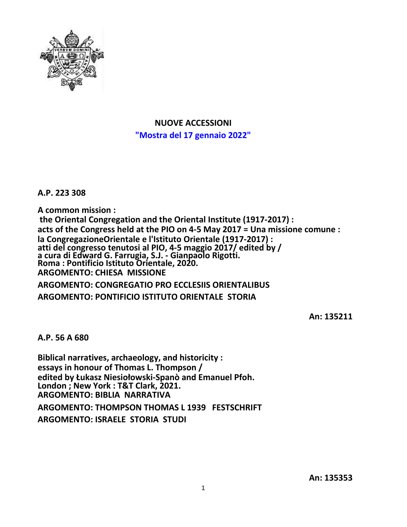

**NUOVE ACCESSIONI "Mostra del 17 gennaio 2022"**

**A.P. 223 308**

**A common mission : the Oriental Congregation and the Oriental Institute (1917-2017) : acts of the Congress held at the PIO on 4-5 May 2017 = Una missione comune : la CongregazioneOrientale e l'Istituto Orientale (1917-2017) : atti del congresso tenutosi al PIO, 4-5 maggio 2017/ edited by / a cura di Edward G. Farrugia, S.J. - Gianpaolo Rigotti. Roma : Pontificio Istituto Orientale, 2020. ARGOMENTO: CHIESA MISSIONE ARGOMENTO: CONGREGATIO PRO ECCLESIIS ORIENTALIBUS**

**ARGOMENTO: PONTIFICIO ISTITUTO ORIENTALE STORIA**

**An: 135211**

**A.P. 56 A 680**

**Biblical narratives, archaeology, and historicity : essays in honour of Thomas L. Thompson / edited by Łukasz Niesiołowski-Spanò and Emanuel Pfoh. London ; New York : T&T Clark, 2021. ARGOMENTO: BIBLIA NARRATIVA ARGOMENTO: THOMPSON THOMAS L 1939 FESTSCHRIFT ARGOMENTO: ISRAELE STORIA STUDI**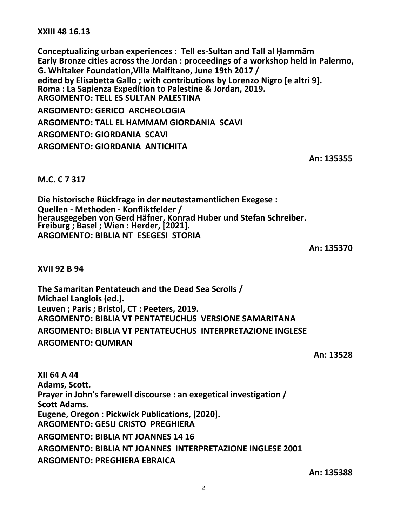**XXIII 48 16.13**

**Conceptualizing urban experiences : Tell es-Sultan and Tall al Ḥammām Early Bronze cities across the Jordan : proceedings of a workshop held in Palermo, G. Whitaker Foundation,Villa Malfitano, June 19th 2017 / edited by Elisabetta Gallo ; with contributions by Lorenzo Nigro [e altri 9]. Roma : La Sapienza Expedition to Palestine & Jordan, 2019. ARGOMENTO: TELL ES SULTAN PALESTINA ARGOMENTO: GERICO ARCHEOLOGIA ARGOMENTO: TALL EL HAMMAM GIORDANIA SCAVI ARGOMENTO: GIORDANIA SCAVI ARGOMENTO: GIORDANIA ANTICHITA**

**An: 135355**

## **M.C. C 7 317**

**Die historische Rückfrage in der neutestamentlichen Exegese : Quellen - Methoden - Konfliktfelder / herausgegeben von Gerd Häfner, Konrad Huber und Stefan Schreiber. Freiburg ; Basel ; Wien : Herder, [2021]. ARGOMENTO: BIBLIA NT ESEGESI STORIA**

**An: 135370**

**XVII 92 B 94**

**The Samaritan Pentateuch and the Dead Sea Scrolls / Michael Langlois (ed.). Leuven ; Paris ; Bristol, CT : Peeters, 2019. ARGOMENTO: BIBLIA VT PENTATEUCHUS VERSIONE SAMARITANA ARGOMENTO: BIBLIA VT PENTATEUCHUS INTERPRETAZIONE INGLESE ARGOMENTO: QUMRAN**

**An: 13528**

**XII 64 A 44 Adams, Scott. Prayer in John's farewell discourse : an exegetical investigation / Scott Adams. Eugene, Oregon : Pickwick Publications, [2020]. ARGOMENTO: GESU CRISTO PREGHIERA ARGOMENTO: BIBLIA NT JOANNES 14 16 ARGOMENTO: BIBLIA NT JOANNES INTERPRETAZIONE INGLESE 2001 ARGOMENTO: PREGHIERA EBRAICA**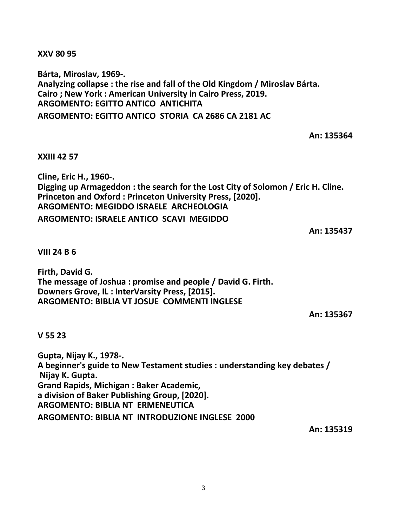**XXV 80 95**

**Bárta, Miroslav, 1969-. Analyzing collapse : the rise and fall of the Old Kingdom / Miroslav Bárta. Cairo ; New York : American University in Cairo Press, 2019. ARGOMENTO: EGITTO ANTICO ANTICHITA ARGOMENTO: EGITTO ANTICO STORIA CA 2686 CA 2181 AC**

**An: 135364**

**XXIII 42 57**

**Cline, Eric H., 1960-. Digging up Armageddon : the search for the Lost City of Solomon / Eric H. Cline. Princeton and Oxford : Princeton University Press, [2020]. ARGOMENTO: MEGIDDO ISRAELE ARCHEOLOGIA ARGOMENTO: ISRAELE ANTICO SCAVI MEGIDDO**

**An: 135437**

**VIII 24 B 6**

**Firth, David G. The message of Joshua : promise and people / David G. Firth. Downers Grove, IL : InterVarsity Press, [2015]. ARGOMENTO: BIBLIA VT JOSUE COMMENTI INGLESE**

**An: 135367**

**V 55 23**

**Gupta, Nijay K., 1978-. A beginner's guide to New Testament studies : understanding key debates / Nijay K. Gupta. Grand Rapids, Michigan : Baker Academic, a division of Baker Publishing Group, [2020]. ARGOMENTO: BIBLIA NT ERMENEUTICA ARGOMENTO: BIBLIA NT INTRODUZIONE INGLESE 2000**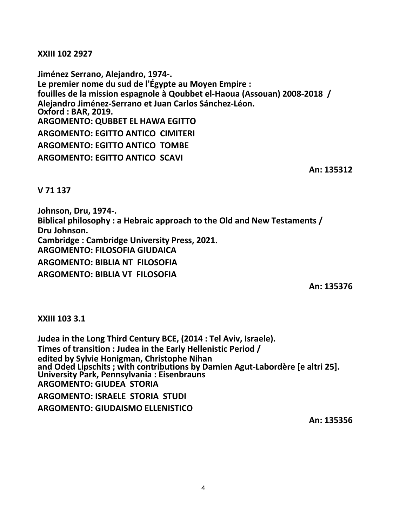**XXIII 102 2927**

**Jiménez Serrano, Alejandro, 1974-. Le premier nome du sud de l'Égypte au Moyen Empire : fouilles de la mission espagnole à Qoubbet el-Haoua (Assouan) 2008-2018 / Alejandro Jiménez-Serrano et Juan Carlos Sánchez-Léon. Oxford : BAR, 2019. ARGOMENTO: QUBBET EL HAWA EGITTO ARGOMENTO: EGITTO ANTICO CIMITERI ARGOMENTO: EGITTO ANTICO TOMBE ARGOMENTO: EGITTO ANTICO SCAVI**

**An: 135312**

**V 71 137**

**Johnson, Dru, 1974-. Biblical philosophy : a Hebraic approach to the Old and New Testaments / Dru Johnson. Cambridge : Cambridge University Press, 2021. ARGOMENTO: FILOSOFIA GIUDAICA ARGOMENTO: BIBLIA NT FILOSOFIA ARGOMENTO: BIBLIA VT FILOSOFIA**

**An: 135376**

## **XXIII 103 3.1**

**Judea in the Long Third Century BCE, (2014 : Tel Aviv, Israele). Times of transition : Judea in the Early Hellenistic Period / edited by Sylvie Honigman, Christophe Nihan and Oded Lipschits ; with contributions by Damien Agut-Labordère [e altri 25]. University Park, Pennsylvania : Eisenbrauns ARGOMENTO: GIUDEA STORIA ARGOMENTO: ISRAELE STORIA STUDI ARGOMENTO: GIUDAISMO ELLENISTICO**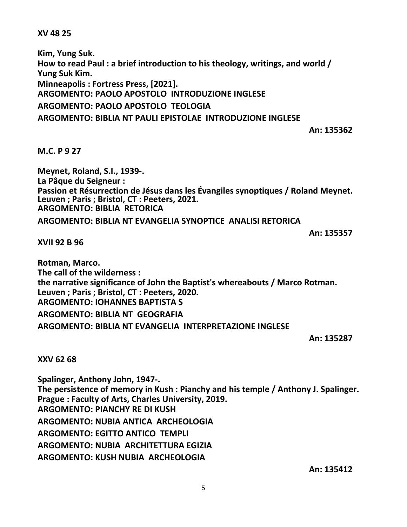## **XV 48 25**

**Kim, Yung Suk. How to read Paul : a brief introduction to his theology, writings, and world / Yung Suk Kim. Minneapolis : Fortress Press, [2021]. ARGOMENTO: PAOLO APOSTOLO INTRODUZIONE INGLESE ARGOMENTO: PAOLO APOSTOLO TEOLOGIA**

**ARGOMENTO: BIBLIA NT PAULI EPISTOLAE INTRODUZIONE INGLESE**

**An: 135362**

**M.C. P 9 27**

**Meynet, Roland, S.I., 1939-. La Pâque du Seigneur : Passion et Résurrection de Jésus dans les Évangiles synoptiques / Roland Meynet. Leuven ; Paris ; Bristol, CT : Peeters, 2021. ARGOMENTO: BIBLIA RETORICA**

**ARGOMENTO: BIBLIA NT EVANGELIA SYNOPTICE ANALISI RETORICA**

**An: 135357**

**XVII 92 B 96**

**Rotman, Marco. The call of the wilderness : the narrative significance of John the Baptist's whereabouts / Marco Rotman. Leuven ; Paris ; Bristol, CT : Peeters, 2020. ARGOMENTO: IOHANNES BAPTISTA S ARGOMENTO: BIBLIA NT GEOGRAFIA ARGOMENTO: BIBLIA NT EVANGELIA INTERPRETAZIONE INGLESE**

**An: 135287**

**XXV 62 68**

**Spalinger, Anthony John, 1947-. The persistence of memory in Kush : Pianchy and his temple / Anthony J. Spalinger. Prague : Faculty of Arts, Charles University, 2019. ARGOMENTO: PIANCHY RE DI KUSH ARGOMENTO: NUBIA ANTICA ARCHEOLOGIA ARGOMENTO: EGITTO ANTICO TEMPLI ARGOMENTO: NUBIA ARCHITETTURA EGIZIA ARGOMENTO: KUSH NUBIA ARCHEOLOGIA**